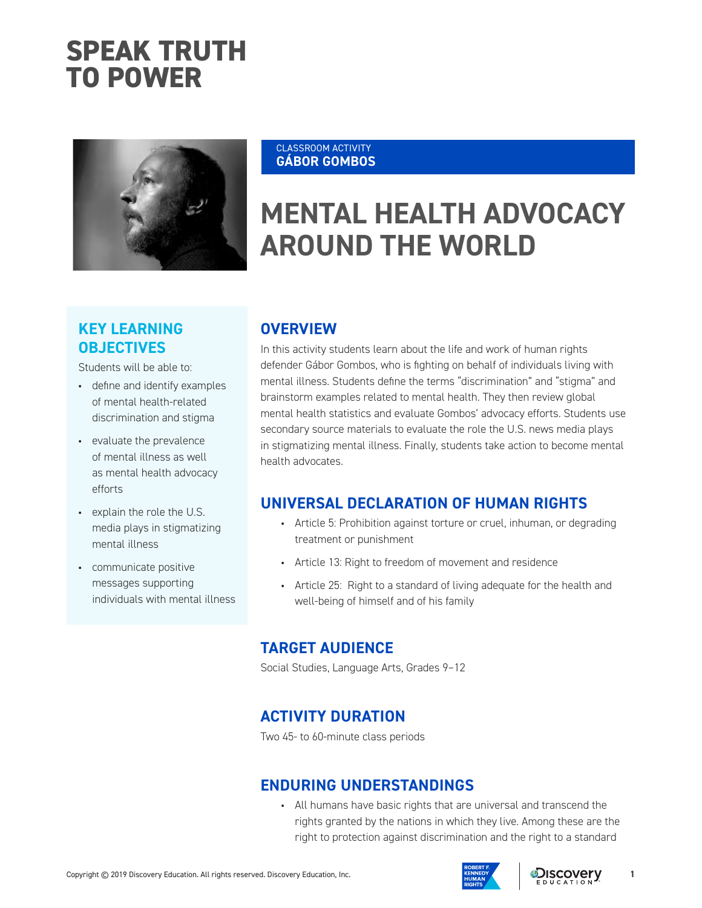# **SPEAK TRUTH TO POWER**



#### CLASSROOM ACTIVITY **GÁBOR GOMBOS**

# **MENTAL HEALTH ADVOCACY AROUND THE WORLD**

# **KEY LEARNING OBJECTIVES**

Students will be able to:

- define and identify examples of mental health-related discrimination and stigma
- evaluate the prevalence of mental illness as well as mental health advocacy efforts
- explain the role the U.S. media plays in stigmatizing mental illness
- communicate positive messages supporting individuals with mental illness

## **OVERVIEW**

In this activity students learn about the life and work of human rights defender Gábor Gombos, who is fighting on behalf of individuals living with mental illness. Students define the terms "discrimination" and "stigma" and brainstorm examples related to mental health. They then review global mental health statistics and evaluate Gombos' advocacy efforts. Students use secondary source materials to evaluate the role the U.S. news media plays in stigmatizing mental illness. Finally, students take action to become mental health advocates.

## **UNIVERSAL DECLARATION OF HUMAN RIGHTS**

- Article 5: Prohibition against torture or cruel, inhuman, or degrading treatment or punishment
- Article 13: Right to freedom of movement and residence
- Article 25: Right to a standard of living adequate for the health and well-being of himself and of his family

### **TARGET AUDIENCE**

Social Studies, Language Arts, Grades 9–12

## **ACTIVITY DURATION**

Two 45- to 60-minute class periods

### **ENDURING UNDERSTANDINGS**

• All humans have basic rights that are universal and transcend the rights granted by the nations in which they live. Among these are the right to protection against discrimination and the right to a standard

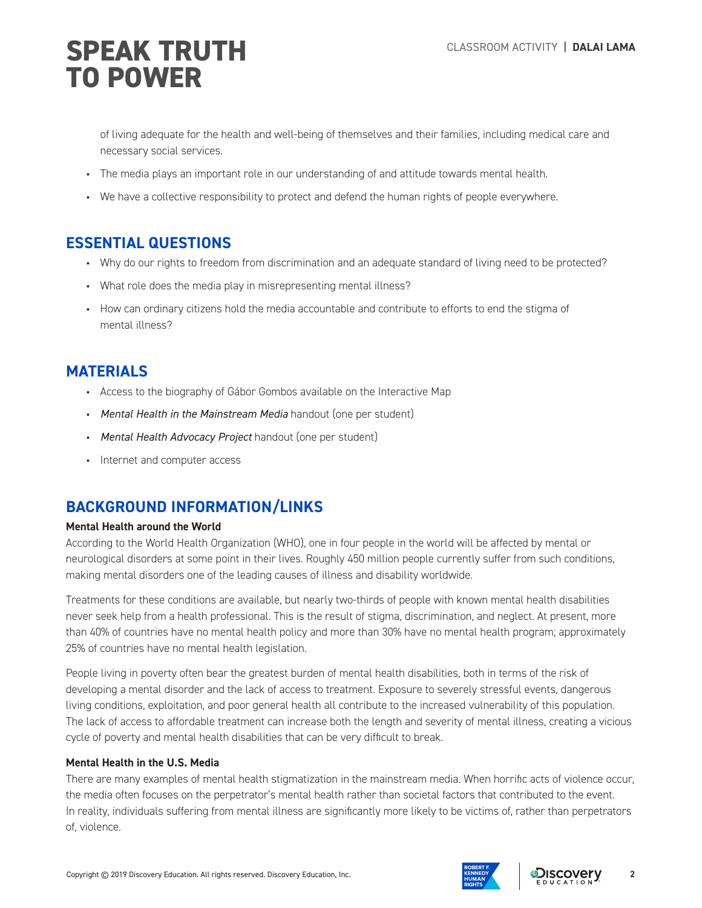of living adequate for the health and well-being of themselves and their families, including medical care and necessary social services.

- The media plays an important role in our understanding of and attitude towards mental health.
- We have a collective responsibility to protect and defend the human rights of people everywhere.

## **ESSENTIAL QUESTIONS**

- Why do our rights to freedom from discrimination and an adequate standard of living need to be protected?
- What role does the media play in misrepresenting mental illness?
- How can ordinary citizens hold the media accountable and contribute to efforts to end the stigma of mental illness?

# **MATERIALS**

- Access to the biography of Gábor Gombos available on the Interactive Map
- *Mental Health in the Mainstream Media* handout (one per student)
- *Mental Health Advocacy Project* handout (one per student)
- Internet and computer access

# **BACKGROUND INFORMATION/LINKS**

### **Mental Health around the World**

According to the World Health Organization (WHO), one in four people in the world will be affected by mental or neurological disorders at some point in their lives. Roughly 450 million people currently suffer from such conditions, making mental disorders one of the leading causes of illness and disability worldwide.

Treatments for these conditions are available, but nearly two-thirds of people with known mental health disabilities never seek help from a health professional. This is the result of stigma, discrimination, and neglect. At present, more than 40% of countries have no mental health policy and more than 30% have no mental health program; approximately 25% of countries have no mental health legislation.

People living in poverty often bear the greatest burden of mental health disabilities, both in terms of the risk of developing a mental disorder and the lack of access to treatment. Exposure to severely stressful events, dangerous living conditions, exploitation, and poor general health all contribute to the increased vulnerability of this population. The lack of access to affordable treatment can increase both the length and severity of mental illness, creating a vicious cycle of poverty and mental health disabilities that can be very difficult to break.

### **Mental Health in the U.S. Media**

There are many examples of mental health stigmatization in the mainstream media. When horrific acts of violence occur, the media often focuses on the perpetrator's mental health rather than societal factors that contributed to the event. In reality, individuals suffering from mental illness are significantly more likely to be victims of, rather than perpetrators of, violence.



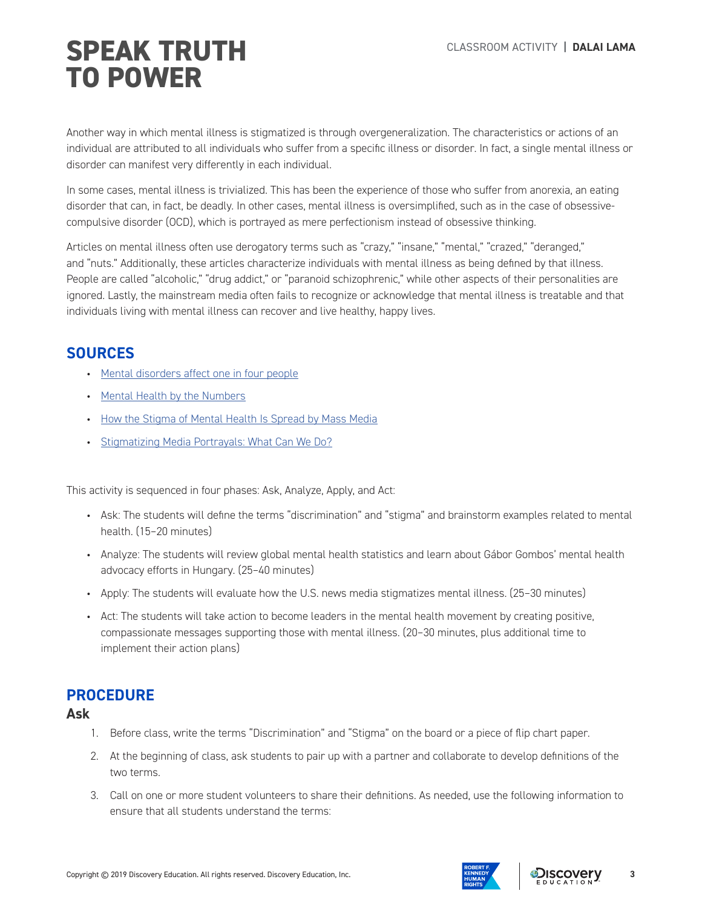Another way in which mental illness is stigmatized is through overgeneralization. The characteristics or actions of an individual are attributed to all individuals who suffer from a specific illness or disorder. In fact, a single mental illness or disorder can manifest very differently in each individual.

In some cases, mental illness is trivialized. This has been the experience of those who suffer from anorexia, an eating disorder that can, in fact, be deadly. In other cases, mental illness is oversimplified, such as in the case of obsessivecompulsive disorder (OCD), which is portrayed as mere perfectionism instead of obsessive thinking.

Articles on mental illness often use derogatory terms such as "crazy," "insane," "mental," "crazed," "deranged," and "nuts." Additionally, these articles characterize individuals with mental illness as being defined by that illness. People are called "alcoholic," "drug addict," or "paranoid schizophrenic," while other aspects of their personalities are ignored. Lastly, the mainstream media often fails to recognize or acknowledge that mental illness is treatable and that individuals living with mental illness can recover and live healthy, happy lives.

# **SOURCES**

- Mental disorders affect one in four people
- Mental Health by the Numbers
- How the Stigma of Mental Health Is Spread by Mass Media
- Stigmatizing Media Portrayals: What Can We Do?

This activity is sequenced in four phases: Ask, Analyze, Apply, and Act:

- Ask: The students will define the terms "discrimination" and "stigma" and brainstorm examples related to mental health. (15–20 minutes)
- Analyze: The students will review global mental health statistics and learn about Gábor Gombos' mental health advocacy efforts in Hungary. (25–40 minutes)
- Apply: The students will evaluate how the U.S. news media stigmatizes mental illness. (25–30 minutes)
- Act: The students will take action to become leaders in the mental health movement by creating positive, compassionate messages supporting those with mental illness. (20–30 minutes, plus additional time to implement their action plans)

## **PROCEDURE**

**Ask**

- 1. Before class, write the terms "Discrimination" and "Stigma" on the board or a piece of flip chart paper.
- 2. At the beginning of class, ask students to pair up with a partner and collaborate to develop definitions of the two terms.
- 3. Call on one or more student volunteers to share their definitions. As needed, use the following information to ensure that all students understand the terms:

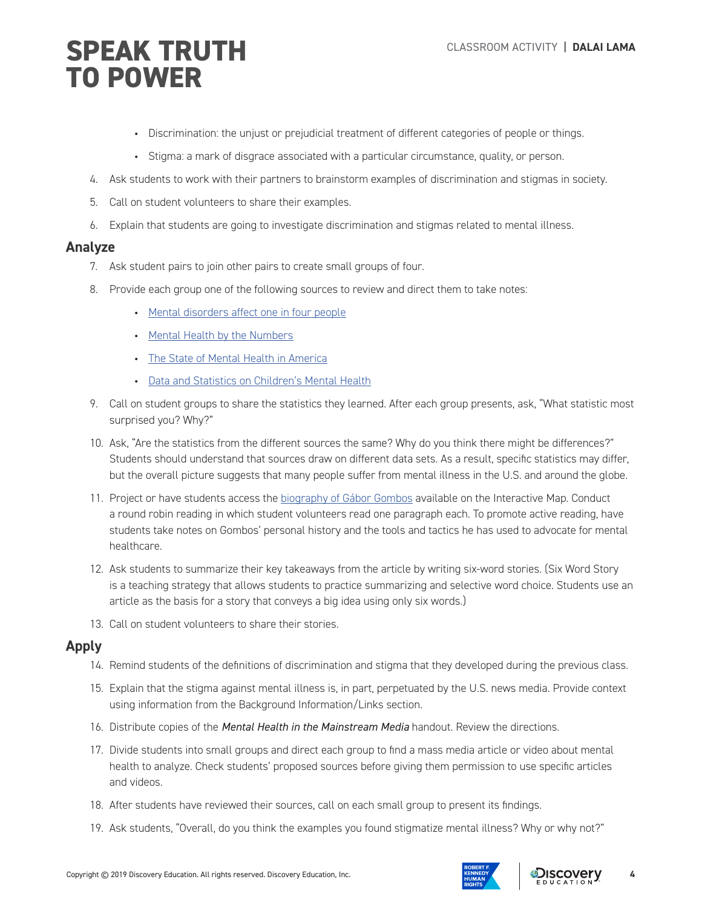- Discrimination: the unjust or prejudicial treatment of different categories of people or things.
- Stigma: a mark of disgrace associated with a particular circumstance, quality, or person.
- 4. Ask students to work with their partners to brainstorm examples of discrimination and stigmas in society.
- 5. Call on student volunteers to share their examples.
- 6. Explain that students are going to investigate discrimination and stigmas related to mental illness.

#### **Analyze**

- 7. Ask student pairs to join other pairs to create small groups of four.
- 8. Provide each group one of the following sources to review and direct them to take notes:
	- Mental disorders affect one in four people
	- Mental Health by the Numbers
	- The State of Mental Health in America
	- Data and Statistics on Children's Mental Health
- 9. Call on student groups to share the statistics they learned. After each group presents, ask, "What statistic most surprised you? Why?"
- 10. Ask, "Are the statistics from the different sources the same? Why do you think there might be differences?" Students should understand that sources draw on different data sets. As a result, specific statistics may differ, but the overall picture suggests that many people suffer from mental illness in the U.S. and around the globe.
- 11. Project or have students access the biography of Gábor Gombos available on the Interactive Map. Conduct a round robin reading in which student volunteers read one paragraph each. To promote active reading, have students take notes on Gombos' personal history and the tools and tactics he has used to advocate for mental healthcare.
- 12. Ask students to summarize their key takeaways from the article by writing six-word stories. (Six Word Story is a teaching strategy that allows students to practice summarizing and selective word choice. Students use an article as the basis for a story that conveys a big idea using only six words.)
- 13. Call on student volunteers to share their stories.

### **Apply**

- 14. Remind students of the definitions of discrimination and stigma that they developed during the previous class.
- 15. Explain that the stigma against mental illness is, in part, perpetuated by the U.S. news media. Provide context using information from the Background Information/Links section.
- 16. Distribute copies of the *Mental Health in the Mainstream Media* handout. Review the directions.
- 17. Divide students into small groups and direct each group to find a mass media article or video about mental health to analyze. Check students' proposed sources before giving them permission to use specific articles and videos.
- 18. After students have reviewed their sources, call on each small group to present its findings.
- 19. Ask students, "Overall, do you think the examples you found stigmatize mental illness? Why or why not?"

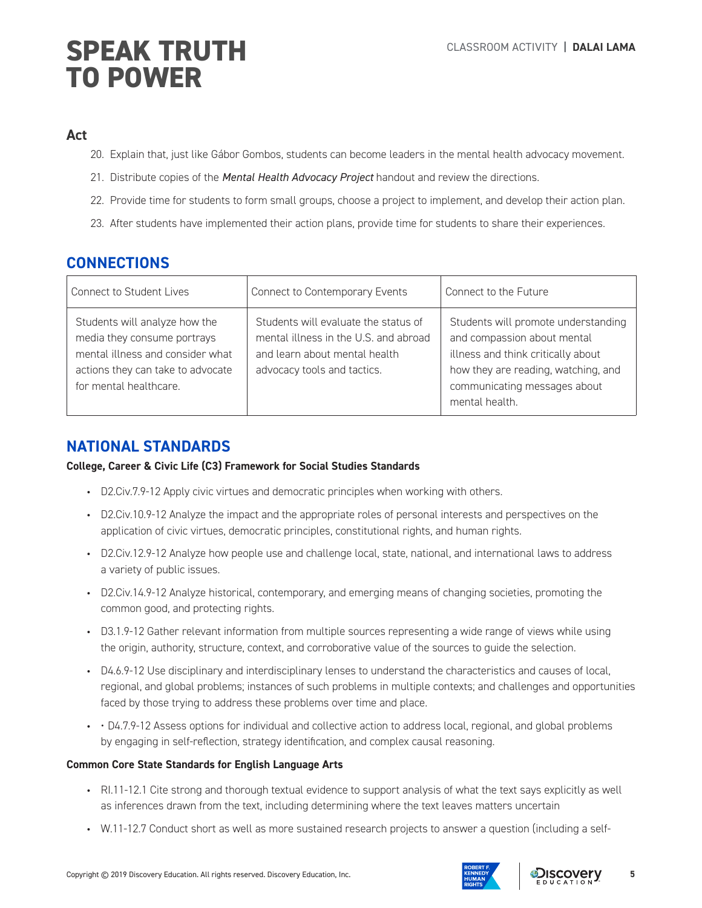### **Act**

- 20. Explain that, just like Gábor Gombos, students can become leaders in the mental health advocacy movement.
- 21. Distribute copies of the *Mental Health Advocacy Project* handout and review the directions.
- 22. Provide time for students to form small groups, choose a project to implement, and develop their action plan.
- 23. After students have implemented their action plans, provide time for students to share their experiences.

## **CONNECTIONS**

| Connect to Student Lives                                                                                                                                        | Connect to Contemporary Events                                                                                                                | Connect to the Future                                                                                                                                                                             |
|-----------------------------------------------------------------------------------------------------------------------------------------------------------------|-----------------------------------------------------------------------------------------------------------------------------------------------|---------------------------------------------------------------------------------------------------------------------------------------------------------------------------------------------------|
| Students will analyze how the<br>media they consume portrays<br>mental illness and consider what<br>actions they can take to advocate<br>for mental healthcare. | Students will evaluate the status of<br>mental illness in the U.S. and abroad<br>and learn about mental health<br>advocacy tools and tactics. | Students will promote understanding<br>and compassion about mental<br>illness and think critically about<br>how they are reading, watching, and<br>communicating messages about<br>mental health. |

## **NATIONAL STANDARDS**

**College, Career & Civic Life (C3) Framework for Social Studies Standards** 

- D2.Civ.7.9-12 Apply civic virtues and democratic principles when working with others.
- D2.Civ.10.9-12 Analyze the impact and the appropriate roles of personal interests and perspectives on the application of civic virtues, democratic principles, constitutional rights, and human rights.
- D2.Civ.12.9-12 Analyze how people use and challenge local, state, national, and international laws to address a variety of public issues.
- D2.Civ.14.9-12 Analyze historical, contemporary, and emerging means of changing societies, promoting the common good, and protecting rights.
- D3.1.9-12 Gather relevant information from multiple sources representing a wide range of views while using the origin, authority, structure, context, and corroborative value of the sources to guide the selection.
- D4.6.9-12 Use disciplinary and interdisciplinary lenses to understand the characteristics and causes of local, regional, and global problems; instances of such problems in multiple contexts; and challenges and opportunities faced by those trying to address these problems over time and place.
- • D4.7.9-12 Assess options for individual and collective action to address local, regional, and global problems by engaging in self-reflection, strategy identification, and complex causal reasoning.

#### **Common Core State Standards for English Language Arts**

- RI.11-12.1 Cite strong and thorough textual evidence to support analysis of what the text says explicitly as well as inferences drawn from the text, including determining where the text leaves matters uncertain
- W.11-12.7 Conduct short as well as more sustained research projects to answer a question (including a self-

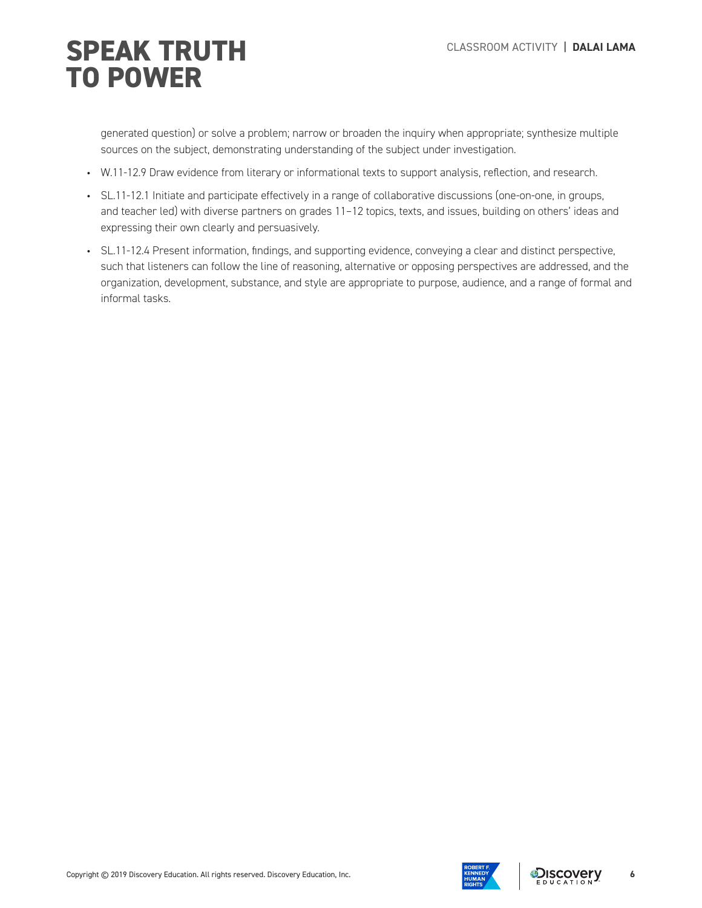generated question) or solve a problem; narrow or broaden the inquiry when appropriate; synthesize multiple sources on the subject, demonstrating understanding of the subject under investigation.

- W.11-12.9 Draw evidence from literary or informational texts to support analysis, reflection, and research.
- SL.11-12.1 Initiate and participate effectively in a range of collaborative discussions (one-on-one, in groups, and teacher led) with diverse partners on grades 11–12 topics, texts, and issues, building on others' ideas and expressing their own clearly and persuasively.
- SL.11-12.4 Present information, findings, and supporting evidence, conveying a clear and distinct perspective, such that listeners can follow the line of reasoning, alternative or opposing perspectives are addressed, and the organization, development, substance, and style are appropriate to purpose, audience, and a range of formal and informal tasks.



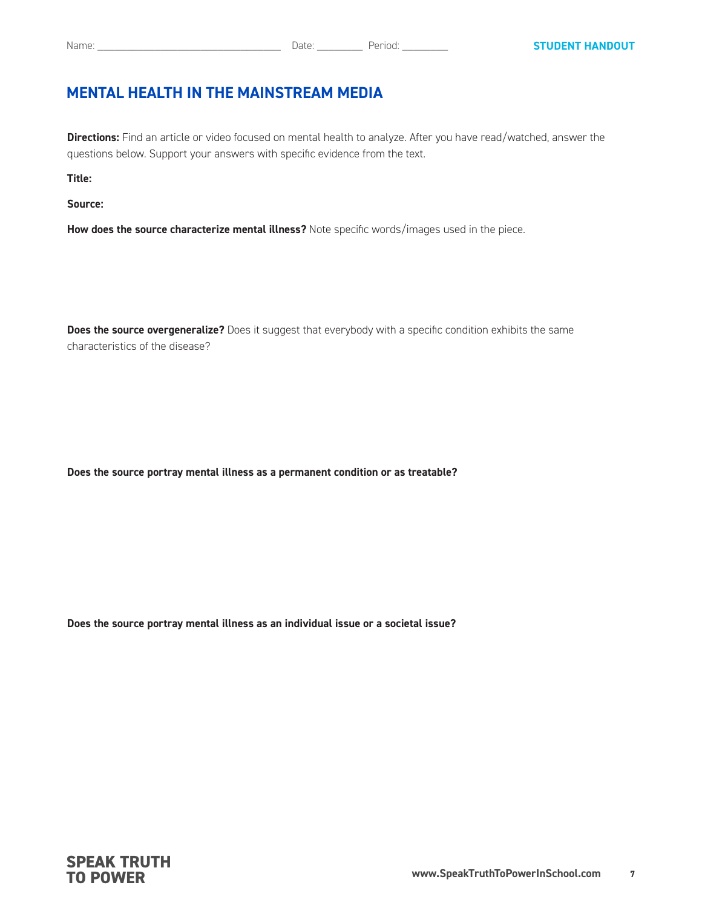## **MENTAL HEALTH IN THE MAINSTREAM MEDIA**

**Directions:** Find an article or video focused on mental health to analyze. After you have read/watched, answer the questions below. Support your answers with specific evidence from the text.

**Title:**

**Source:**

**How does the source characterize mental illness?** Note specific words/images used in the piece.

**Does the source overgeneralize?** Does it suggest that everybody with a specific condition exhibits the same characteristics of the disease?

**Does the source portray mental illness as a permanent condition or as treatable?**

**Does the source portray mental illness as an individual issue or a societal issue?**